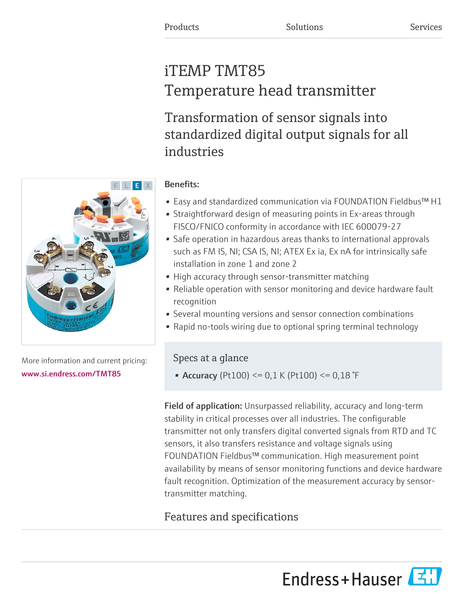# iTEMP TMT85 Temperature head transmitter

Transformation of sensor signals into standardized digital output signals for all industries

## Benefits:

- Easy and standardized communication via FOUNDATION Fieldbus™ H1
- Straightforward design of measuring points in Ex-areas through FISCO/FNICO conformity in accordance with IEC 600079-27
- Safe operation in hazardous areas thanks to international approvals such as FM IS, NI; CSA IS, NI; ATEX Ex ia, Ex nA for intrinsically safe installation in zone 1 and zone 2
- High accuracy through sensor-transmitter matching
- Reliable operation with sensor monitoring and device hardware fault recognition
- Several mounting versions and sensor connection combinations
- Rapid no-tools wiring due to optional spring terminal technology

### Specs at a glance

• Accuracy (Pt100) <=  $0,1$  K (Pt100) <=  $0,18$  °F

Field of application: Unsurpassed reliability, accuracy and long-term stability in critical processes over all industries. The configurable transmitter not only transfers digital converted signals from RTD and TC sensors, it also transfers resistance and voltage signals using FOUNDATION Fieldbus™ communication. High measurement point availability by means of sensor monitoring functions and device hardware fault recognition. Optimization of the measurement accuracy by sensortransmitter matching.

## Features and specifications

Endress+Hauser



More information and current pricing: [www.si.endress.com/TMT85](https://www.si.endress.com/TMT85)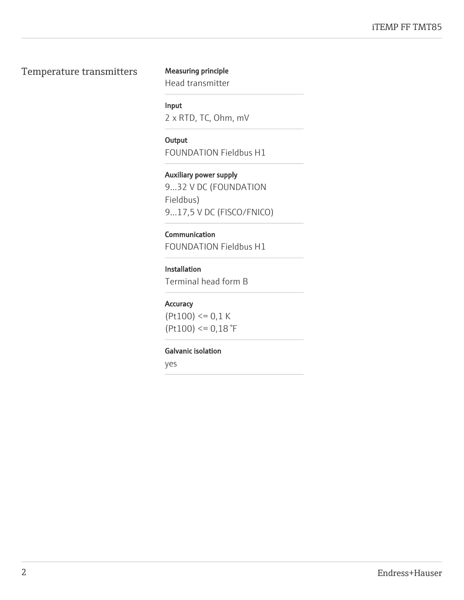#### Temperature transmitters Measuring principle

Head transmitter

Input

2 x RTD, TC, Ohm, mV

**Output** FOUNDATION Fieldbus H1

Auxiliary power supply 9...32 V DC (FOUNDATION Fieldbus) 9...17,5 V DC (FISCO/FNICO)

#### **Communication**

FOUNDATION Fieldbus H1

#### Installation

Terminal head form B

#### Accuracy

 $(Pt100) \le 0.1 K$  $(Pt100) \le 0.18$ °F

#### Galvanic isolation

yes